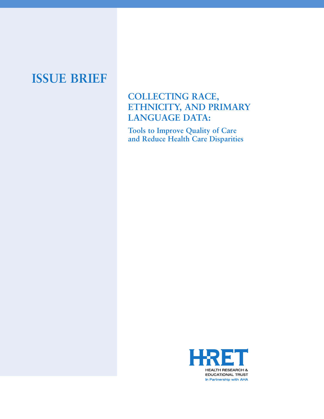# **ISSUE BRIEF**

## **COLLECTING RACE, ETHNICITY, AND PRIMARY LANGUAGE DATA:**

**Tools to Improve Quality of Care and Reduce Health Care Disparities** 

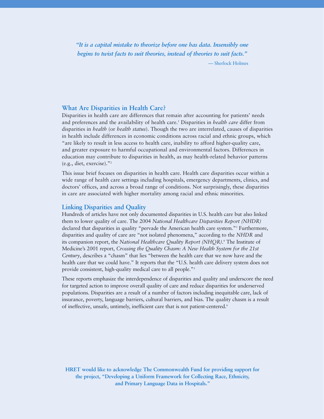*"It is a capital mistake to theorize before one has data. Insensibly one begins to twist facts to suit theories, instead of theories to suit facts."* — Sherlock Holmes

#### **What Are Disparities in Health Care?**

Disparities in health care are differences that remain after accounting for patients' needs and preferences and the availability of health care.1 Disparities in *health care* differ from disparities in *health* (or *health status*). Though the two are interrelated, causes of disparities in health include differences in economic conditions across racial and ethnic groups, which "are likely to result in less access to health care, inability to afford higher-quality care, and greater exposure to harmful occupational and environmental factors. Differences in education may contribute to disparities in health, as may health-related behavior patterns (e.g., diet, exercise)."2

This issue brief focuses on disparities in health care. Health care disparities occur within a wide range of health care settings including hospitals, emergency departments, clinics, and doctors' offices, and across a broad range of conditions. Not surprisingly, these disparities in care are associated with higher mortality among racial and ethnic minorities.

#### **Linking Disparities and Quality**

Hundreds of articles have not only documented disparities in U.S. health care but also linked them to lower quality of care. The 2004 *National Healthcare Disparities Report (NHDR)* declared that disparities in quality "pervade the American health care system."3 Furthermore, disparities and quality of care are "not isolated phenomena," according to the *NHDR* and its companion report, the *National Healthcare Quality Report (NHQR)*. <sup>4</sup> The Institute of Medicine's 2001 report, *Crossing the Quality Chasm: A New Health System for the 21st Century*, describes a "chasm" that lies "between the health care that we now have and the health care that we could have." It reports that the "U.S. health care delivery system does not provide consistent, high-quality medical care to all people."5

These reports emphasize the interdependence of disparities and quality and underscore the need for targeted action to improve overall quality of care and reduce disparities for underserved populations. Disparities are a result of a number of factors including inequitable care, lack of insurance, poverty, language barriers, cultural barriers, and bias. The quality chasm is a result of ineffective, unsafe, untimely, inefficient care that is not patient-centered.<sup>6</sup>

**HRET would like to acknowledge The Commonwealth Fund for providing support for the project, "Developing a Uniform Framework for Collecting Race, Ethnicity, and Primary Language Data in Hospitals."**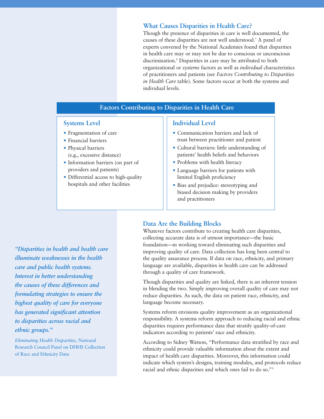#### **What Causes Disparities in Health Care?**

Though the presence of disparities in care is well documented, the causes of these disparities are not well understood.7 A panel of experts convened by the National Academies found that disparities in health care may or may not be due to conscious or unconscious discrimination.8 Disparities in care may be attributed to both organizational or *systems* factors as well as *individual* characteristics of practitioners and patients (see *Factors Contributing to Disparities in Health Care* table). Some factors occur at both the systems and individual levels.

## **Factors Contributing to Disparities in Health Care**

#### **Systems Level**

- Fragmentation of care
- Financial barriers
- Physical barriers (e.g., excessive distance)
- Information barriers (on part of providers and patients)
- Differential access to high-quality hospitals and other facilities

#### **Individual Level**

- Communication barriers and lack of trust between practitioner and patient
- Cultural barriers: little understanding of patients' health beliefs and behaviors
- Problems with health literacy
- Language barriers for patients with limited English proficiency
- Bias and prejudice: stereotyping and biased decision making by providers and practitioners

## **Data Are the Building Blocks**

Whatever factors contribute to creating health care disparities, collecting accurate data is of utmost importance—the basic foundation—in working toward eliminating such disparities and improving quality of care. Data collection has long been central to the quality assurance process. If data on race, ethnicity, and primary language are available, disparities in health care can be addressed through a quality of care framework.

Though disparities and quality are linked, there is an inherent tension in blending the two. Simply improving overall quality of care may not reduce disparities. As such, the data on patient race, ethnicity, and language become necessary.

Systems reform envisions quality improvement as an organizational responsibility. A systems reform approach to reducing racial and ethnic disparities requires performance data that stratify quality-of-care indicators according to patients' race and ethnicity.

According to Sidney Watson, "Performance data stratified by race and ethnicity could provide valuable information about the extent and impact of health care disparities. Moreover, this information could indicate which system's designs, training modules, and protocols reduce racial and ethnic disparities and which ones fail to do so."9

*"Disparities in health and health care illuminate weaknesses in the health care and public health systems. Interest in better understanding the causes of these differences and formulating strategies to ensure the highest quality of care for everyone has generated significant attention to disparities across racial and ethnic groups."* 

*Eliminating Health Disparities,* National Research Council Panel on DHHS Collection of Race and Ethnicity Data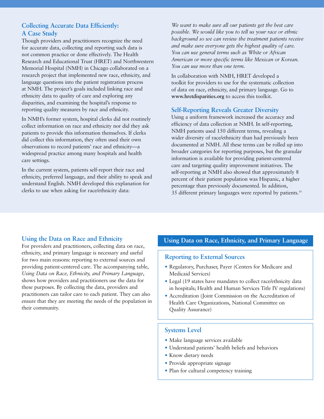## **Collecting Accurate Data Efficiently: A Case Study**

Though providers and practitioners recognize the need for accurate data, collecting and reporting such data is not common practice or done effectively. The Health Research and Educational Trust (HRET) and Northwestern Memorial Hospital (NMH) in Chicago collaborated on a research project that implemented new race, ethnicity, and language questions into the patient registration process at NMH. The project's goals included linking race and ethnicity data to quality of care and exploring any disparities, and examining the hospital's response to reporting quality measures by race and ethnicity.

In NMH's former system, hospital clerks did not routinely collect information on race and ethnicity nor did they ask patients to provide this information themselves. If clerks did collect this information, they often used their own observations to record patients' race and ethnicity—a widespread practice among many hospitals and health care settings.

In the current system, patients self-report their race and ethnicity, preferred language, and their ability to speak and understand English. NMH developed this explanation for clerks to use when asking for race/ethnicity data:

*We want to make sure all our patients get the best care possible. We would like you to tell us your race or ethnic background so we can review the treatment patients receive and make sure everyone gets the highest quality of care. You can use general terms such as White or African American or more specific terms like Mexican or Korean. You can use more than one term.*

In collaboration with NMH, HRET developed a toolkit for providers to use for the systematic collection of data on race, ethnicity, and primary language. Go to **www.hretdisparities.org** to access this toolkit.

## **Self-Reporting Reveals Greater Diversity**

Using a uniform framework increased the accuracy and efficiency of data collection at NMH. In self-reporting, NMH patients used 150 different terms, revealing a wider diversity of race/ethnicity than had previously been documented at NMH. All these terms can be rolled up into broader categories for reporting purposes, but the granular information is available for providing patient-centered care and targeting quality improvement initiatives. The self-reporting at NMH also showed that approximately 8 percent of their patient population was Hispanic, a higher percentage than previously documented. In addition, 35 different primary languages were reported by patients.10

## **Using the Data on Race and Ethnicity**

For providers and practitioners, collecting data on race, ethnicity, and primary language is necessary and useful for two main reasons: reporting to external sources and providing patient-centered care. The accompanying table, *Using Data on Race, Ethnicity, and Primary Language*, shows how providers and practitioners use the data for these purposes. By collecting the data, providers and practitioners can tailor care to each patient. They can also ensure that they are meeting the needs of the population in their community.

## **Using Data on Race, Ethnicity, and Primary Language**

## **Reporting to External Sources**

- Regulatory, Purchaser, Payer (Centers for Medicare and Medicaid Services)
- Legal (19 states have mandates to collect race/ethnicity data in hospitals; Health and Human Services Title IV regulations)
- Accreditation (Joint Commission on the Accreditation of Health Care Organizations, National Committee on Quality Assurance)

## **Systems Level**

- Make language services available
- Understand patients' health beliefs and behaviors
- Know dietary needs
- Provide appropriate signage
- Plan for cultural competency training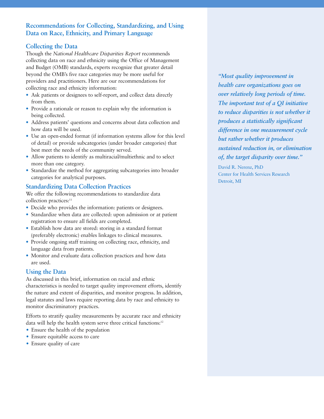## **Recommendations for Collecting, Standardizing, and Using Data on Race, Ethnicity, and Primary Language**

## **Collecting the Data**

Though the *National Healthcare Disparities Report* recommends collecting data on race and ethnicity using the Office of Management and Budget (OMB) standards, experts recognize that greater detail beyond the OMB's five race categories may be more useful for providers and practitioners. Here are our recommendations for collecting race and ethnicity information:

- Ask patients or designees to self-report, and collect data directly from them.
- Provide a rationale or reason to explain why the information is being collected.
- Address patients' questions and concerns about data collection and how data will be used.
- Use an open-ended format (if information systems allow for this level of detail) or provide subcategories (under broader categories) that best meet the needs of the community served.
- Allow patients to identify as multiracial/multiethnic and to select more than one category.
- Standardize the method for aggregating subcategories into broader categories for analytical purposes.

## **Standardizing Data Collection Practices**

We offer the following recommendations to standardize data collection practices:<sup>11</sup>

- Decide who provides the information: patients or designees.
- Standardize when data are collected: upon admission or at patient registration to ensure all fields are completed.
- Establish how data are stored: storing in a standard format (preferably electronic) enables linkages to clinical measures.
- Provide ongoing staff training on collecting race, ethnicity, and language data from patients.
- Monitor and evaluate data collection practices and how data are used.

## **Using the Data**

As discussed in this brief, information on racial and ethnic characteristics is needed to target quality improvement efforts, identify the nature and extent of disparities, and monitor progress. In addition, legal statutes and laws require reporting data by race and ethnicity to monitor discriminatory practices.

Efforts to stratify quality measurements by accurate race and ethnicity data will help the health system serve three critical functions:<sup>12</sup>

- Ensure the health of the population
- Ensure equitable access to care
- Ensure quality of care

*"Most quality improvement in health care organizations goes on over relatively long periods of time. The important test of a QI initiative to reduce disparities is not whether it produces a statistically significant difference in one measurement cycle but rather whether it produces sustained reduction in, or elimination of, the target disparity over time."*

David R. Nerenz, PhD Center for Health Services Research Detroit, MI